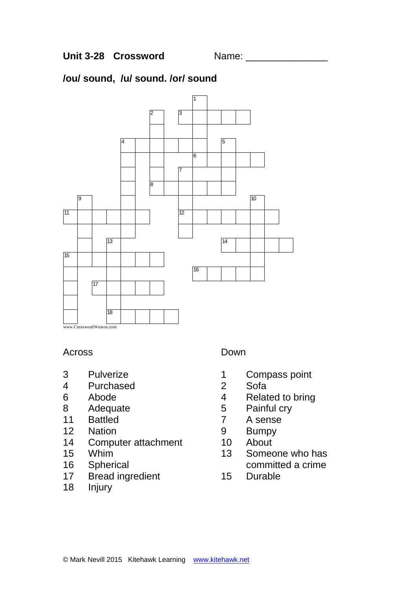# **/ou/ sound, /u/ sound. /or/ sound**



## Across

- Pulverize
- Purchased
- Abode
- Adequate
- Battled
- Nation
- Computer attachment
- Whim
- Spherical
- Bread ingredient
- Injury

## Down

- Compass point
- Sofa
- Related to bring
- Painful cry
- A sense
- Bumpy
- About
- Someone who has committed a crime
- Durable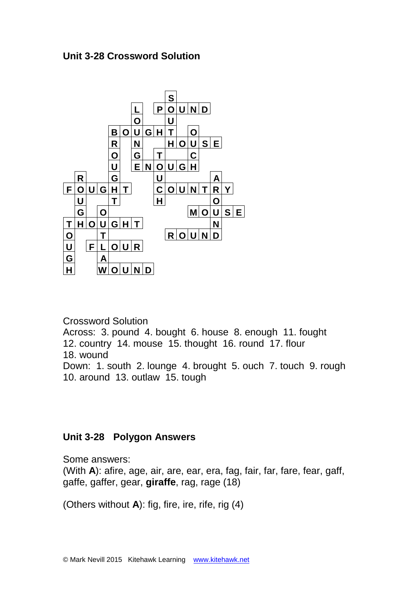# **Unit 3-28 Crossword Solution**



Crossword Solution

Across: 3. pound 4. bought 6. house 8. enough 11. fought 12. country 14. mouse 15. thought 16. round 17. flour 18. wound

Down: 1. south 2. lounge 4. brought 5. ouch 7. touch 9. rough 10. around 13. outlaw 15. tough

# **Unit 3-28 Polygon Answers**

Some answers:

(With **A**): afire, age, air, are, ear, era, fag, fair, far, fare, fear, gaff, gaffe, gaffer, gear, **giraffe**, rag, rage (18)

(Others without **A**): fig, fire, ire, rife, rig (4)